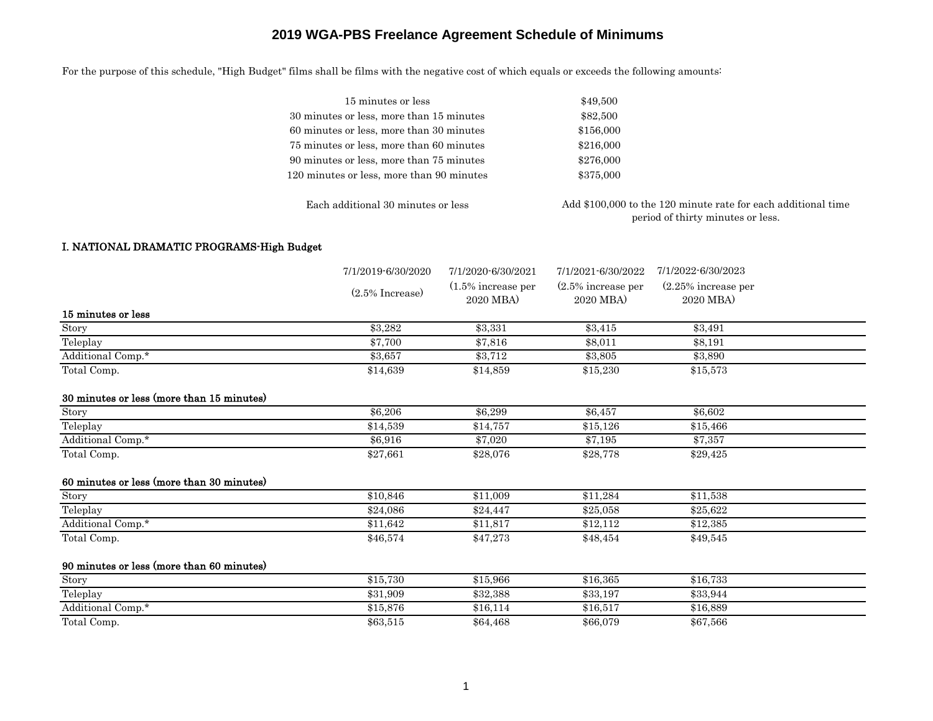For the purpose of this schedule, "High Budget" films shall be films with the negative cost of which equals or exceeds the following amounts:

| 15 minutes or less                        | \$49,500                                                                                           |
|-------------------------------------------|----------------------------------------------------------------------------------------------------|
| 30 minutes or less, more than 15 minutes  | \$82,500                                                                                           |
| 60 minutes or less, more than 30 minutes  | \$156,000                                                                                          |
| 75 minutes or less, more than 60 minutes  | \$216,000                                                                                          |
| 90 minutes or less, more than 75 minutes  | \$276,000                                                                                          |
| 120 minutes or less, more than 90 minutes | \$375,000                                                                                          |
| Each additional 30 minutes or less        | Add \$100,000 to the 120 minute rate for each additional time<br>period of thirty minutes or less. |

#### I. NATIONAL DRAMATIC PROGRAMS-High Budget

|                                           | 7/1/2019-6/30/2020 | 7/1/2020-6/30/2021                 | 7/1/2021-6/30/2022                | 7/1/2022-6/30/2023                  |  |
|-------------------------------------------|--------------------|------------------------------------|-----------------------------------|-------------------------------------|--|
|                                           | $(2.5\%$ Increase) | $(1.5\%$ increase per<br>2020 MBA) | $(2.5\%$ increase per<br>2020 MBA | $(2.25\%$ increase per<br>2020 MBA) |  |
| 15 minutes or less                        |                    |                                    |                                   |                                     |  |
| Story                                     | \$3,282            | \$3,331                            | \$3,415                           | \$3,491                             |  |
| Teleplay                                  | \$7,700            | \$7,816                            | \$8,011                           | \$8,191                             |  |
| Additional Comp.*                         | \$3,657            | \$3,712                            | \$3,805                           | \$3,890                             |  |
| Total Comp.                               | \$14,639           | \$14,859                           | \$15,230                          | \$15,573                            |  |
| 30 minutes or less (more than 15 minutes) |                    |                                    |                                   |                                     |  |
| Story                                     | \$6,206            | \$6,299                            | \$6,457                           | \$6,602                             |  |
| Teleplay                                  | \$14,539           | \$14,757                           | \$15,126                          | \$15,466                            |  |
| Additional Comp.*                         | \$6,916            | \$7,020                            | \$7,195                           | \$7,357                             |  |
| Total Comp.                               | \$27,661           | \$28,076                           | \$28,778                          | \$29,425                            |  |
| 60 minutes or less (more than 30 minutes) |                    |                                    |                                   |                                     |  |
| Story                                     | \$10,846           | \$11,009                           | \$11,284                          | \$11,538                            |  |
| Teleplay                                  | \$24,086           | \$24,447                           | \$25,058                          | \$25,622                            |  |
| Additional Comp.*                         | \$11,642           | \$11,817                           | \$12,112                          | \$12,385                            |  |
| Total Comp.                               | \$46,574           | \$47,273                           | \$48,454                          | \$49,545                            |  |
| 90 minutes or less (more than 60 minutes) |                    |                                    |                                   |                                     |  |
| Story                                     | \$15,730           | \$15,966                           | \$16,365                          | \$16,733                            |  |
| Teleplay                                  | \$31,909           | \$32,388                           | \$33,197                          | \$33,944                            |  |
| Additional Comp.*                         | \$15,876           | \$16,114                           | \$16,517                          | \$16,889                            |  |
| Total Comp.                               | \$63,515           | \$64,468                           | \$66,079                          | \$67,566                            |  |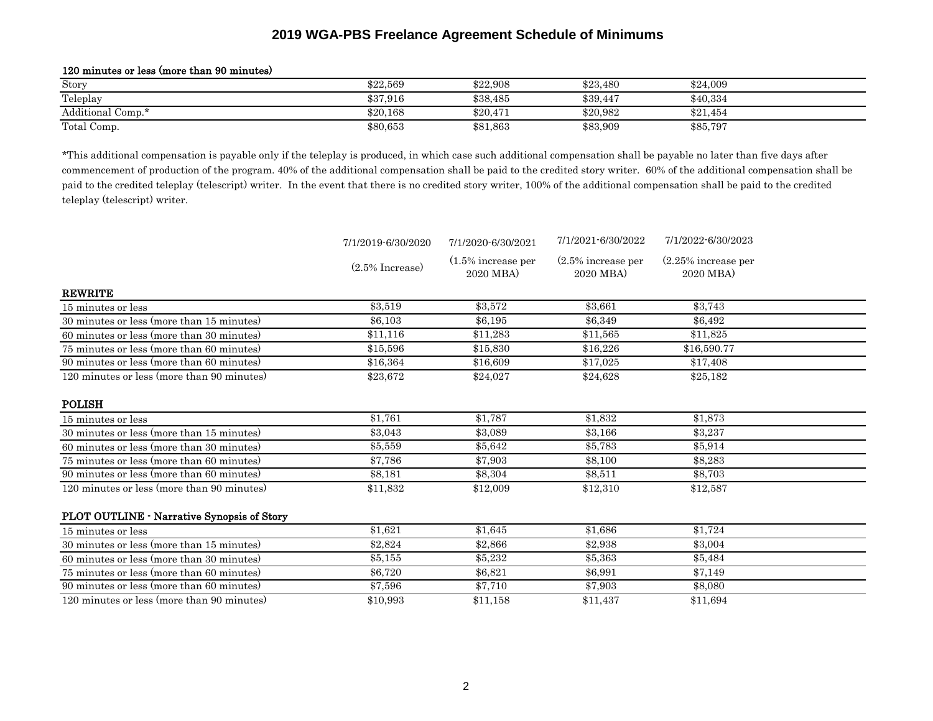| $100$ million of 1000 (molto virum 00 million) |          |          |          |          |  |  |
|------------------------------------------------|----------|----------|----------|----------|--|--|
| Story                                          | \$22,569 | \$22,908 | \$23.480 | \$24,009 |  |  |
| Teleplay                                       | \$37,916 | \$38,485 | \$39,447 | \$40,334 |  |  |
| Additional Comp.*                              | \$20.168 | \$20,471 | \$20,982 | \$21.454 |  |  |
| Total Comp.                                    | \$80,653 | \$81,863 | \$83,909 | \$85,797 |  |  |

#### 120 minutes or less (more than 90 minutes)

\*This additional compensation is payable only if the teleplay is produced, in which case such additional compensation shall be payable no later than five days after commencement of production of the program. 40% of the additional compensation shall be paid to the credited story writer. 60% of the additional compensation shall be paid to the credited teleplay (telescript) writer. In the event that there is no credited story writer, 100% of the additional compensation shall be paid to the credited teleplay (telescript) writer.

|                                            | 7/1/2019-6/30/2020 | 7/1/2020-6/30/2021                | 7/1/2021-6/30/2022                | 7/1/2022-6/30/2023                 |  |
|--------------------------------------------|--------------------|-----------------------------------|-----------------------------------|------------------------------------|--|
|                                            | $(2.5\%$ Increase) | $(1.5\%$ increase per<br>2020 MBA | $(2.5\%$ increase per<br>2020 MBA | $(2.25\%$ increase per<br>2020 MBA |  |
| <b>REWRITE</b>                             |                    |                                   |                                   |                                    |  |
| 15 minutes or less                         | \$3.519            | \$3.572                           | \$3.661                           | \$3.743                            |  |
| 30 minutes or less (more than 15 minutes)  | \$6,103            | \$6,195                           | \$6,349                           | \$6,492                            |  |
| 60 minutes or less (more than 30 minutes)  | \$11,116           | \$11,283                          | \$11,565                          | \$11,825                           |  |
| 75 minutes or less (more than 60 minutes)  | \$15,596           | \$15,830                          | \$16,226                          | \$16,590.77                        |  |
| 90 minutes or less (more than 60 minutes)  | \$16,364           | \$16,609                          | \$17,025                          | \$17,408                           |  |
| 120 minutes or less (more than 90 minutes) | \$23,672           | \$24,027                          | \$24,628                          | \$25,182                           |  |
| <b>POLISH</b>                              |                    |                                   |                                   |                                    |  |
| 15 minutes or less                         | \$1,761            | \$1,787                           | \$1,832                           | \$1,873                            |  |
| 30 minutes or less (more than 15 minutes)  | \$3,043            | \$3,089                           | \$3,166                           | \$3,237                            |  |
| 60 minutes or less (more than 30 minutes)  | \$5,559            | \$5,642                           | \$5,783                           | \$5,914                            |  |
| 75 minutes or less (more than 60 minutes)  | \$7.786            | \$7.903                           | \$8,100                           | \$8,283                            |  |
| 90 minutes or less (more than 60 minutes)  | \$8,181            | \$8,304                           | \$8,511                           | \$8,703                            |  |
| 120 minutes or less (more than 90 minutes) | \$11,832           | \$12,009                          | \$12,310                          | \$12,587                           |  |
| PLOT OUTLINE - Narrative Synopsis of Story |                    |                                   |                                   |                                    |  |
| 15 minutes or less                         | \$1,621            | \$1,645                           | \$1,686                           | \$1,724                            |  |
| 30 minutes or less (more than 15 minutes)  | \$2,824            | \$2,866                           | \$2,938                           | \$3,004                            |  |
| 60 minutes or less (more than 30 minutes)  | \$5,155            | \$5,232                           | \$5,363                           | \$5,484                            |  |
| 75 minutes or less (more than 60 minutes)  | \$6,720            | \$6,821                           | \$6,991                           | \$7,149                            |  |
| 90 minutes or less (more than 60 minutes)  | \$7,596            | \$7,710                           | \$7,903                           | \$8,080                            |  |
| 120 minutes or less (more than 90 minutes) | \$10,993           | \$11,158                          | \$11,437                          | \$11,694                           |  |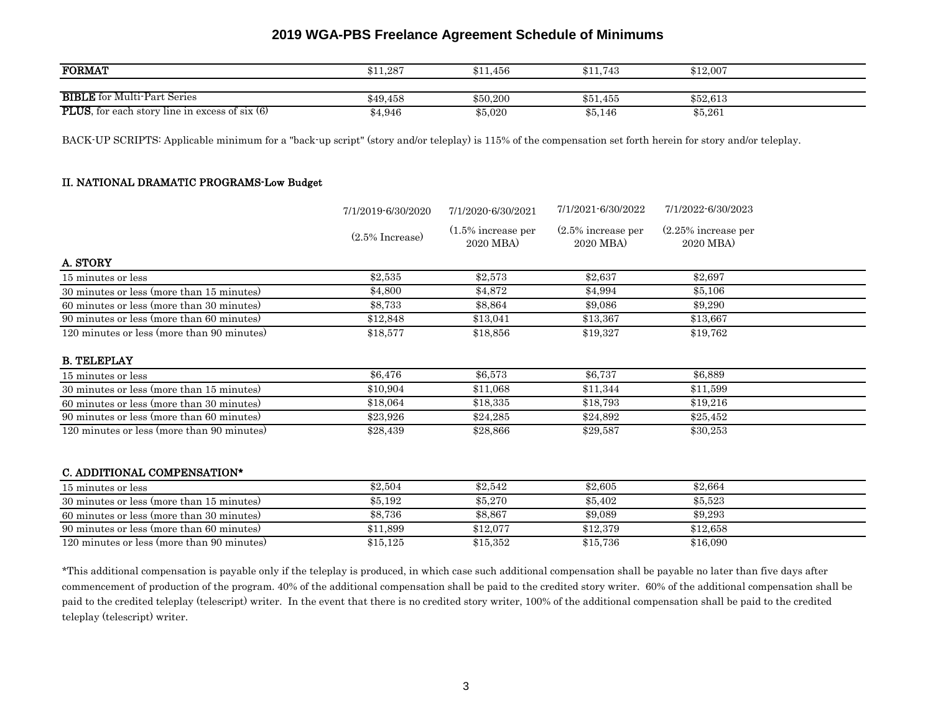| <b>FORMAT</b>                                          | \$11,287 | \$11,456 | $\$11.743$ | \$12,007 |
|--------------------------------------------------------|----------|----------|------------|----------|
|                                                        |          |          |            |          |
| <b>BIBLE</b> for Multi-Part Series                     | \$49,458 | \$50,200 | \$51,455   | \$52,613 |
| <b>PLUS</b> , for each story line in excess of six (6) | \$4,946  | \$5,020  | \$5,146    | \$5,261  |

BACK-UP SCRIPTS: Applicable minimum for a "back-up script" (story and/or teleplay) is 115% of the compensation set forth herein for story and/or teleplay.

#### II. NATIONAL DRAMATIC PROGRAMS-Low Budget

|                                            | 7/1/2019-6/30/2020 | 7/1/2020-6/30/2021                 | 7/1/2021-6/30/2022                | 7/1/2022-6/30/2023                 |  |
|--------------------------------------------|--------------------|------------------------------------|-----------------------------------|------------------------------------|--|
|                                            | $(2.5\%$ Increase) | $(1.5\%$ increase per<br>2020 MBA) | $(2.5\%$ increase per<br>2020 MBA | $(2.25\%$ increase per<br>2020 MBA |  |
| A. STORY                                   |                    |                                    |                                   |                                    |  |
| 15 minutes or less                         | \$2,535            | \$2,573                            | \$2,637                           | \$2,697                            |  |
| 30 minutes or less (more than 15 minutes)  | \$4,800            | \$4,872                            | \$4,994                           | \$5,106                            |  |
| 60 minutes or less (more than 30 minutes)  | \$8,733            | \$8,864                            | \$9,086                           | \$9,290                            |  |
| 90 minutes or less (more than 60 minutes)  | \$12,848           | \$13,041                           | \$13,367                          | \$13,667                           |  |
| 120 minutes or less (more than 90 minutes) | \$18,577           | \$18,856                           | \$19,327                          | \$19,762                           |  |
| <b>B. TELEPLAY</b>                         |                    |                                    |                                   |                                    |  |
| 15 minutes or less                         | \$6,476            | \$6,573                            | \$6,737                           | \$6,889                            |  |
| 30 minutes or less (more than 15 minutes)  | \$10,904           | \$11.068                           | \$11,344                          | \$11,599                           |  |
| 60 minutes or less (more than 30 minutes)  | \$18,064           | \$18,335                           | \$18,793                          | \$19,216                           |  |
| 90 minutes or less (more than 60 minutes)  | \$23,926           | \$24,285                           | \$24,892                          | \$25,452                           |  |
| 120 minutes or less (more than 90 minutes) | \$28,439           | \$28,866                           | \$29,587                          | \$30,253                           |  |
| C. ADDITIONAL COMPENSATION*                |                    |                                    |                                   |                                    |  |
| 15 minutes or less                         | \$2,504            | \$2,542                            | \$2,605                           | \$2,664                            |  |
| 30 minutes or less (more than 15 minutes)  | \$5,192            | \$5,270                            | \$5,402                           | \$5,523                            |  |
| 60 minutes or less (more than 30 minutes)  | \$8,736            | \$8,867                            | \$9,089                           | \$9,293                            |  |
| 90 minutes or less (more than 60 minutes)  | \$11,899           | \$12,077                           | \$12,379                          | \$12,658                           |  |
| 120 minutes or less (more than 90 minutes) | \$15,125           | \$15,352                           | \$15,736                          | \$16,090                           |  |

\*This additional compensation is payable only if the teleplay is produced, in which case such additional compensation shall be payable no later than five days after commencement of production of the program. 40% of the additional compensation shall be paid to the credited story writer. 60% of the additional compensation shall be paid to the credited teleplay (telescript) writer. In the event that there is no credited story writer, 100% of the additional compensation shall be paid to the credited teleplay (telescript) writer.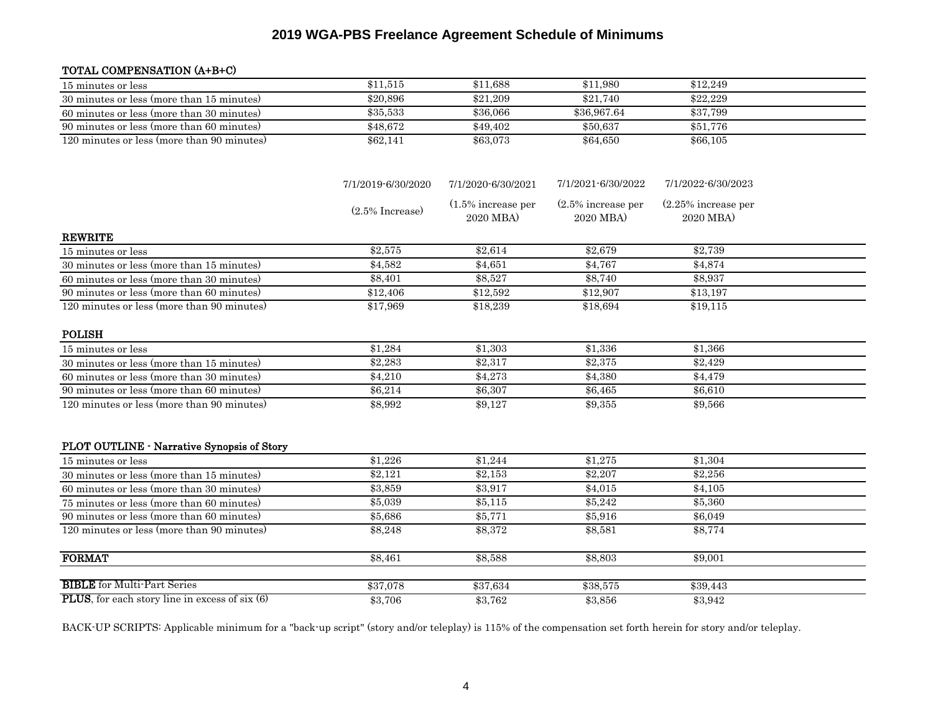### TOTAL COMPENSATION (A+B+C)

| 15 minutes or less                                       | \$11,515           | \$11,688                           | \$11,980                           | \$12,249                            |  |
|----------------------------------------------------------|--------------------|------------------------------------|------------------------------------|-------------------------------------|--|
| 30 minutes or less (more than 15 minutes)                | \$20,896           | \$21,209                           | \$21,740                           | \$22,229                            |  |
| 60 minutes or less (more than 30 minutes)                | \$35,533           | \$36,066                           | \$36,967.64                        | \$37,799                            |  |
| 90 minutes or less (more than 60 minutes)                | \$48,672           | \$49,402                           | \$50,637                           | \$51,776                            |  |
| 120 minutes or less (more than 90 minutes)               | \$62,141           | \$63,073                           | \$64,650                           | \$66,105                            |  |
|                                                          | 7/1/2019-6/30/2020 | 7/1/2020-6/30/2021                 | 7/1/2021-6/30/2022                 | 7/1/2022-6/30/2023                  |  |
|                                                          | $(2.5\%$ Increase) | $(1.5\%$ increase per<br>2020 MBA) | $(2.5\%$ increase per<br>2020 MBA) | $(2.25\%$ increase per<br>2020 MBA) |  |
| <b>REWRITE</b>                                           |                    |                                    |                                    |                                     |  |
| 15 minutes or less                                       | \$2,575            | \$2,614                            | \$2,679                            | \$2,739                             |  |
| 30 minutes or less (more than 15 minutes)                | \$4,582            | \$4,651                            | \$4,767                            | \$4,874                             |  |
| 60 minutes or less (more than 30 minutes)                | \$8,401            | \$8,527                            | \$8,740                            | \$8,937                             |  |
| 90 minutes or less (more than 60 minutes)                | \$12,406           | \$12,592                           | \$12,907                           | \$13,197                            |  |
| 120 minutes or less (more than 90 minutes)               | \$17,969           | \$18,239                           | \$18,694                           | \$19,115                            |  |
| <b>POLISH</b>                                            |                    |                                    |                                    |                                     |  |
| 15 minutes or less                                       | \$1,284            | \$1,303                            | \$1,336                            | \$1,366                             |  |
| 30 minutes or less (more than 15 minutes)                | \$2,283            | \$2,317                            | \$2,375                            | \$2,429                             |  |
| 60 minutes or less (more than 30 minutes)                | \$4,210            | \$4,273                            | \$4,380                            | \$4,479                             |  |
| 90 minutes or less (more than 60 minutes)                | \$6,214            | \$6,307                            | \$6,465                            | \$6,610                             |  |
| 120 minutes or less (more than 90 minutes)               | \$8,992            | \$9,127                            | \$9,355                            | \$9,566                             |  |
| PLOT OUTLINE - Narrative Synopsis of Story               |                    |                                    |                                    |                                     |  |
| 15 minutes or less                                       | \$1,226            | \$1,244                            | \$1,275                            | \$1,304                             |  |
| 30 minutes or less (more than 15 minutes)                | \$2,121            | \$2,153                            | \$2,207                            | \$2,256                             |  |
| 60 minutes or less (more than 30 minutes)                | \$3,859            | \$3,917                            | \$4,015                            | \$4,105                             |  |
| 75 minutes or less (more than 60 minutes)                | \$5,039            | \$5,115                            | \$5,242                            | \$5,360                             |  |
| 90 minutes or less (more than 60 minutes)                | \$5,686            | \$5,771                            | \$5,916                            | \$6,049                             |  |
| 120 minutes or less (more than 90 minutes)               | \$8,248            | \$8,372                            | \$8,581                            | \$8,774                             |  |
| <b>FORMAT</b>                                            | \$8,461            | \$8,588                            | \$8,803                            | \$9,001                             |  |
| <b>BIBLE</b> for Multi-Part Series                       | \$37,078           | \$37,634                           | \$38,575                           | \$39,443                            |  |
| <b>PLUS</b> , for each story line in excess of six $(6)$ | \$3,706            | \$3,762                            | \$3.856                            | \$3.942                             |  |

BACK-UP SCRIPTS: Applicable minimum for a "back-up script" (story and/or teleplay) is 115% of the compensation set forth herein for story and/or teleplay.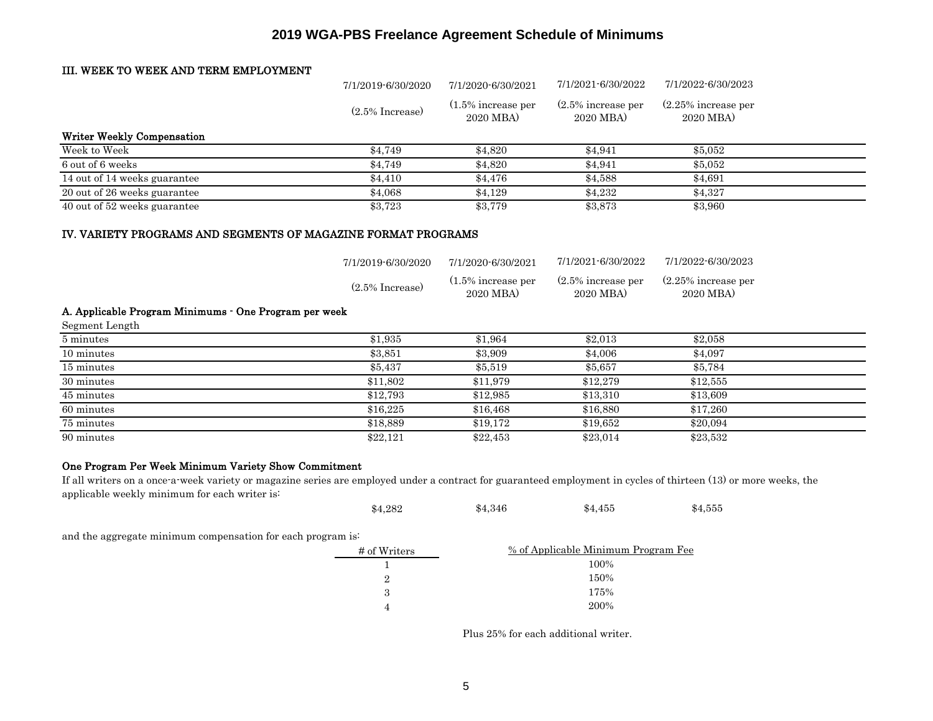#### III. WEEK TO WEEK AND TERM EMPLOYMENT

|                                                       | 7/1/2019-6/30/2020                       | 7/1/2020-6/30/2021                                       | 7/1/2021-6/30/2022                                      | 7/1/2022-6/30/2023                                        |  |
|-------------------------------------------------------|------------------------------------------|----------------------------------------------------------|---------------------------------------------------------|-----------------------------------------------------------|--|
|                                                       | $(2.5\%$ Increase)                       | $(1.5\%$ increase per<br>2020 MBA                        | $(2.5\%$ increase per<br>2020 MBA                       | $(2.25\%$ increase per<br>2020 MBA)                       |  |
| <b>Writer Weekly Compensation</b>                     |                                          |                                                          |                                                         |                                                           |  |
| Week to Week                                          | \$4,749                                  | \$4,820                                                  | \$4,941                                                 | \$5,052                                                   |  |
| 6 out of 6 weeks                                      | \$4,749                                  | \$4,820                                                  | \$4,941                                                 | \$5,052                                                   |  |
| 14 out of 14 weeks guarantee                          | \$4,410                                  | \$4,476                                                  | \$4,588                                                 | \$4,691                                                   |  |
| 20 out of 26 weeks guarantee                          | \$4,068                                  | \$4,129                                                  | \$4,232                                                 | \$4,327                                                   |  |
| 40 out of 52 weeks guarantee                          | \$3,723                                  | \$3,779                                                  | \$3,873                                                 | \$3,960                                                   |  |
|                                                       | 7/1/2019-6/30/2020<br>$(2.5\%$ Increase) | 7/1/2020-6/30/2021<br>$(1.5\%$ increase per<br>2020 MBA) | 7/1/2021-6/30/2022<br>$(2.5\%$ increase per<br>2020 MBA | 7/1/2022-6/30/2023<br>$(2.25\%$ increase per<br>2020 MBA) |  |
| A. Applicable Program Minimums - One Program per week |                                          |                                                          |                                                         |                                                           |  |
| Segment Length                                        |                                          |                                                          |                                                         |                                                           |  |
| 5 minutes                                             | \$1,935                                  | \$1,964                                                  | \$2,013                                                 | \$2,058                                                   |  |
| 10 minutes                                            | \$3,851                                  | \$3,909                                                  | \$4,006                                                 | \$4,097                                                   |  |
| 15 minutes                                            | \$5,437                                  | \$5,519                                                  | \$5,657                                                 | \$5,784                                                   |  |
| 30 minutes                                            | \$11,802                                 | \$11,979                                                 | \$12,279                                                | \$12,555                                                  |  |
| 45 minutes                                            | \$12,793                                 | \$12,985                                                 | \$13,310                                                | \$13,609                                                  |  |
| 60 minutes                                            | \$16,225                                 | \$16,468                                                 | \$16,880                                                | \$17,260                                                  |  |
| 75 minutes                                            | \$18,889                                 | \$19,172                                                 | \$19,652                                                | \$20,094                                                  |  |
| 90 minutes                                            | \$22,121                                 | \$22,453                                                 | \$23,014                                                | \$23,532                                                  |  |

#### One Program Per Week Minimum Variety Show Commitment

If all writers on a once-a-week variety or magazine series are employed under a contract for guaranteed employment in cycles of thirteen (13) or more weeks, the applicable weekly minimum for each writer is:

| \$4,346<br>\$4,455<br>\$4,282 | \$4,555 |
|-------------------------------|---------|
|-------------------------------|---------|

and the aggregate minimum compensation for each program is:

| # of Writers | % of Applicable Minimum Program Fee |
|--------------|-------------------------------------|
|              | 100%                                |
|              | 150%                                |
| З            | 175%                                |
|              | 200%                                |

Plus 25% for each additional writer.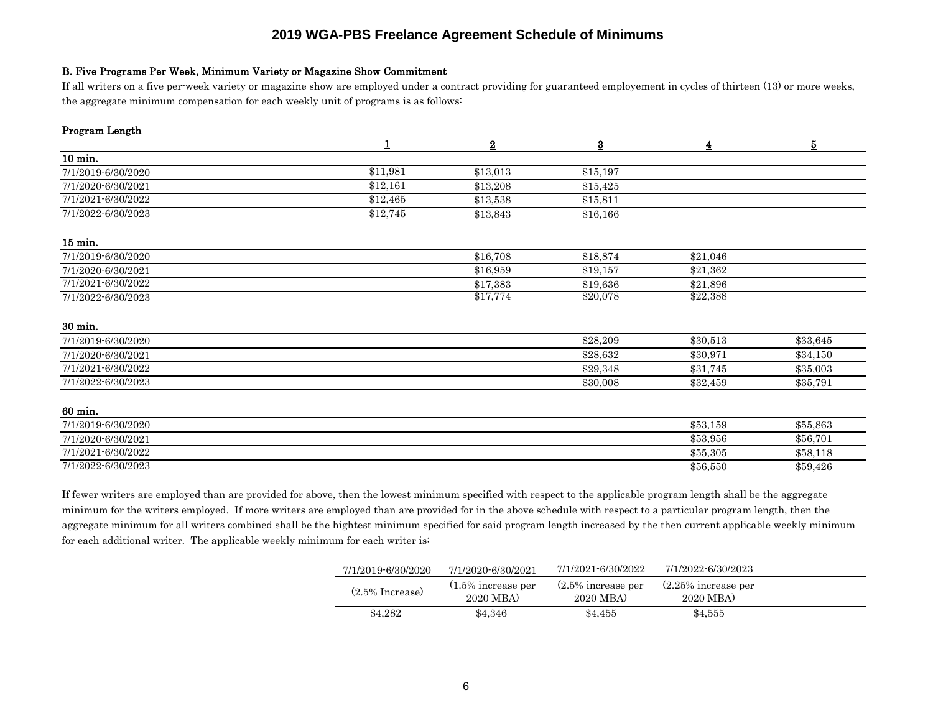#### B. Five Programs Per Week, Minimum Variety or Magazine Show Commitment

If all writers on a five per-week variety or magazine show are employed under a contract providing for guaranteed employement in cycles of thirteen (13) or more weeks, the aggregate minimum compensation for each weekly unit of programs is as follows:

#### Program Length

|                    | 1        | $\overline{2}$ | $\underline{\mathbf{3}}$ | $\overline{\mathbf{4}}$ | $\overline{5}$ |
|--------------------|----------|----------------|--------------------------|-------------------------|----------------|
| 10 min.            |          |                |                          |                         |                |
| 7/1/2019-6/30/2020 | \$11,981 | \$13,013       | \$15,197                 |                         |                |
| 7/1/2020-6/30/2021 | \$12,161 | \$13,208       | \$15,425                 |                         |                |
| 7/1/2021-6/30/2022 | \$12,465 | \$13,538       | \$15,811                 |                         |                |
| 7/1/2022-6/30/2023 | \$12,745 | \$13,843       | \$16,166                 |                         |                |
| 15 min.            |          |                |                          |                         |                |
| 7/1/2019-6/30/2020 |          | \$16,708       | \$18,874                 | \$21,046                |                |
| 7/1/2020-6/30/2021 |          | \$16,959       | \$19,157                 | \$21,362                |                |
| 7/1/2021-6/30/2022 |          | \$17,383       | \$19,636                 | \$21,896                |                |
| 7/1/2022-6/30/2023 |          | \$17,774       | \$20,078                 | \$22,388                |                |
| 30 min.            |          |                |                          |                         |                |
| 7/1/2019-6/30/2020 |          |                | \$28,209                 | \$30,513                | \$33,645       |
| 7/1/2020-6/30/2021 |          |                | \$28,632                 | \$30,971                | \$34,150       |
| 7/1/2021-6/30/2022 |          |                | \$29,348                 | \$31,745                | \$35,003       |
| 7/1/2022-6/30/2023 |          |                | \$30,008                 | \$32,459                | \$35,791       |
| 60 min.            |          |                |                          |                         |                |
| 7/1/2019-6/30/2020 |          |                |                          | \$53,159                | \$55,863       |
| 7/1/2020-6/30/2021 |          |                |                          | \$53,956                | \$56,701       |
| 7/1/2021-6/30/2022 |          |                |                          | \$55,305                | \$58,118       |
| 7/1/2022-6/30/2023 |          |                |                          | \$56,550                | \$59,426       |

If fewer writers are employed than are provided for above, then the lowest minimum specified with respect to the applicable program length shall be the aggregate minimum for the writers employed. If more writers are employed than are provided for in the above schedule with respect to a particular program length, then the aggregate minimum for all writers combined shall be the hightest minimum specified for said program length increased by the then current applicable weekly minimum for each additional writer. The applicable weekly minimum for each writer is:

| 7/1/2019-6/30/2020 | 7/1/2020-6/30/2021                 | 7/1/2021-6/30/2022                 | 7/1/2022-6/30/2023                  |  |
|--------------------|------------------------------------|------------------------------------|-------------------------------------|--|
| $(2.5\%$ Increase) | $(1.5\%$ increase per<br>2020 MBA) | $(2.5\%$ increase per<br>2020 MBA) | $(2.25\%$ increase per<br>2020 MBA) |  |
| \$4.282            | \$4.346                            | \$4.455                            | \$4.555                             |  |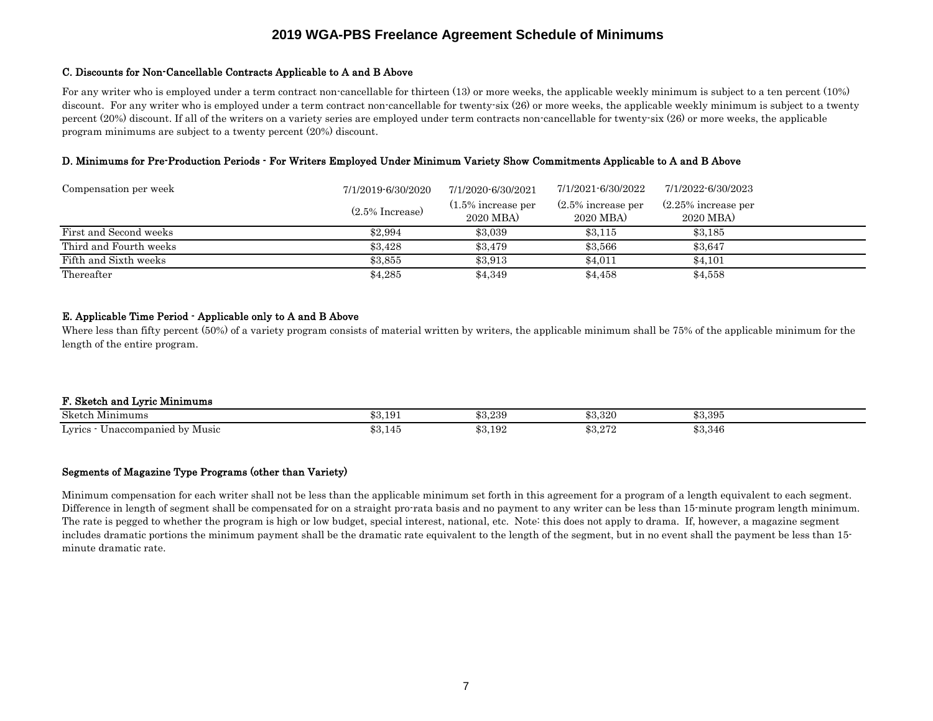#### C. Discounts for Non-Cancellable Contracts Applicable to A and B Above

For any writer who is employed under a term contract non-cancellable for thirteen (13) or more weeks, the applicable weekly minimum is subject to a ten percent (10%) discount. For any writer who is employed under a term contract non-cancellable for twenty-six (26) or more weeks, the applicable weekly minimum is subject to a twenty percent (20%) discount. If all of the writers on a variety series are employed under term contracts non-cancellable for twenty-six (26) or more weeks, the applicable program minimums are subject to a twenty percent (20%) discount.

#### D. Minimums for Pre-Production Periods - For Writers Employed Under Minimum Variety Show Commitments Applicable to A and B Above

| Compensation per week  | 7/1/2019-6/30/2020 | 7/1/2020-6/30/2021                 | 7/1/2021-6/30/2022                 | 7/1/2022-6/30/2023                  |
|------------------------|--------------------|------------------------------------|------------------------------------|-------------------------------------|
|                        | $(2.5\%$ Increase) | $(1.5\%$ increase per<br>2020 MBA) | $(2.5\%$ increase per<br>2020 MBA) | $(2.25\%$ increase per<br>2020 MBA) |
| First and Second weeks | \$2,994            | \$3,039                            | \$3.115                            | \$3.185                             |
| Third and Fourth weeks | \$3.428            | \$3.479                            | \$3,566                            | \$3.647                             |
| Fifth and Sixth weeks  | \$3,855            | \$3,913                            | \$4.011                            | \$4.101                             |
| Thereafter             | \$4,285            | \$4,349                            | \$4,458                            | \$4,558                             |

#### E. Applicable Time Period - Applicable only to A and B Above

Where less than fifty percent (50%) of a variety program consists of material written by writers, the applicable minimum shall be 75% of the applicable minimum for the length of the entire program.

#### F. Sketch and Lyric Minimums Sketch Minimums  $$3,191$   $$3,239$   $$3,320$   $$3,395$ <u>Lyrics - Unaccompanied by Music 53,145</u> \$3,145 \$3,192 \$3,272 \$3,346

#### Segments of Magazine Type Programs (other than Variety)

Minimum compensation for each writer shall not be less than the applicable minimum set forth in this agreement for a program of a length equivalent to each segment. Difference in length of segment shall be compensated for on a straight pro-rata basis and no payment to any writer can be less than 15-minute program length minimum. The rate is pegged to whether the program is high or low budget, special interest, national, etc. Note this does not apply to drama. If, however, a magazine segment includes dramatic portions the minimum payment shall be the dramatic rate equivalent to the length of the segment, but in no event shall the payment be less than 15 minute dramatic rate.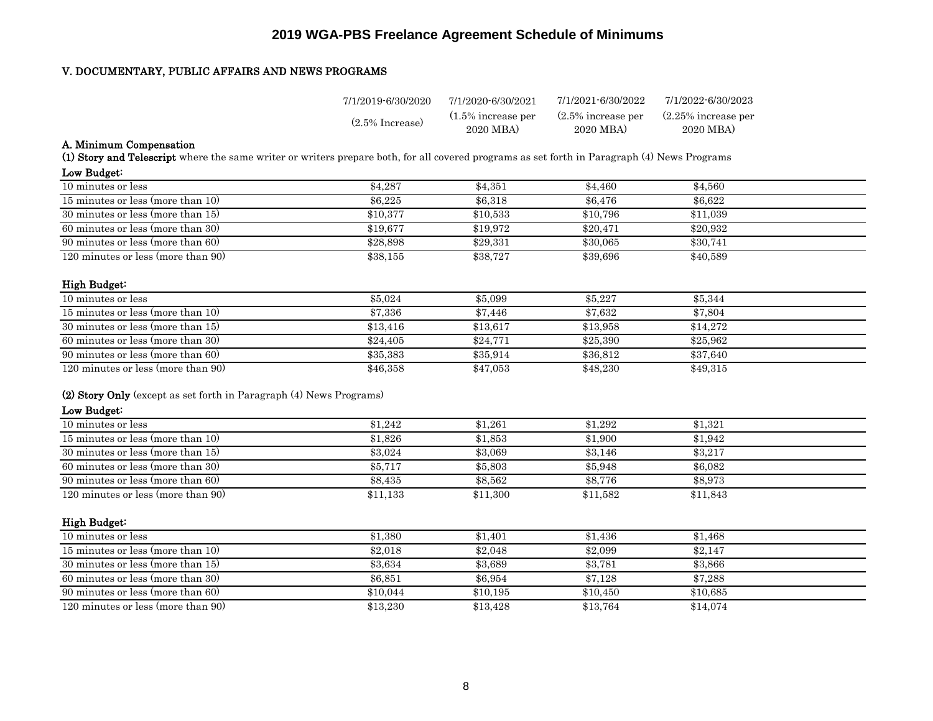#### V. DOCUMENTARY, PUBLIC AFFAIRS AND NEWS PROGRAMS

| 7/1/2019-6/30/2020 | 7/1/2020-6/30/2021                 | 7/1/2021-6/30/2022                 | 7/1/2022-6/30/2023                  |
|--------------------|------------------------------------|------------------------------------|-------------------------------------|
| $(2.5\%$ Increase) | $(1.5\%$ increase per<br>2020 MBA) | $(2.5\%$ increase per<br>2020 MBA) | $(2.25\%$ increase per<br>2020 MBA) |

#### A. Minimum Compensation

(1) Story and Telescript where the same writer or writers prepare both, for all covered programs as set forth in Paragraph (4) News Programs

| Low Budget:                        |          |          |          |          |  |
|------------------------------------|----------|----------|----------|----------|--|
| 10 minutes or less                 | \$4,287  | \$4,351  | \$4.460  | \$4,560  |  |
| 15 minutes or less (more than 10)  | \$6.225  | \$6,318  | \$6,476  | \$6.622  |  |
| 30 minutes or less (more than 15)  | \$10,377 | \$10,533 | \$10.796 | \$11,039 |  |
| 60 minutes or less (more than 30)  | \$19.677 | \$19.972 | \$20,471 | \$20,932 |  |
| 90 minutes or less (more than 60)  | \$28,898 | \$29,331 | \$30,065 | \$30.741 |  |
| 120 minutes or less (more than 90) | \$38,155 | \$38,727 | \$39,696 | \$40,589 |  |

#### High Budget:

| 10 minutes or less                 | \$5,024  | \$5,099  | \$5,227  | \$5,344  |  |
|------------------------------------|----------|----------|----------|----------|--|
| 15 minutes or less (more than 10)  | \$7,336  | \$7.446  | \$7.632  | \$7.804  |  |
| 30 minutes or less (more than 15)  | \$13.416 | \$13.617 | \$13.958 | \$14.272 |  |
| 60 minutes or less (more than 30)  | \$24,405 | \$24,771 | \$25,390 | \$25,962 |  |
| 90 minutes or less (more than 60)  | \$35,383 | \$35,914 | \$36,812 | \$37.640 |  |
| 120 minutes or less (more than 90) | \$46,358 | \$47,053 | \$48,230 | \$49.315 |  |

#### (2) Story Only (except as set forth in Paragraph (4) News Programs)

#### Low Budget:

| 10 minutes or less                 | \$1.242  | \$1.261  | \$1.292  | \$1.321  |  |
|------------------------------------|----------|----------|----------|----------|--|
| 15 minutes or less (more than 10)  | \$1.826  | \$1,853  | \$1,900  | \$1.942  |  |
| 30 minutes or less (more than 15)  | \$3,024  | \$3,069  | \$3.146  | \$3,217  |  |
| 60 minutes or less (more than 30)  | \$5,717  | \$5,803  | \$5,948  | \$6,082  |  |
| 90 minutes or less (more than 60)  | \$8.435  | \$8,562  | \$8.776  | \$8,973  |  |
| 120 minutes or less (more than 90) | \$11,133 | \$11,300 | \$11,582 | \$11,843 |  |

#### High Budget:

| 10 minutes or less                 | \$1,380  | \$1.401  | \$1,436  | \$1,468  |  |
|------------------------------------|----------|----------|----------|----------|--|
| 15 minutes or less (more than 10)  | \$2.018  | \$2,048  | \$2,099  | \$2.147  |  |
| 30 minutes or less (more than 15)  | \$3,634  | \$3.689  | \$3,781  | \$3,866  |  |
| 60 minutes or less (more than 30)  | \$6,851  | \$6,954  | \$7.128  | \$7,288  |  |
| 90 minutes or less (more than 60)  | \$10.044 | \$10.195 | \$10.450 | \$10.685 |  |
| 120 minutes or less (more than 90) | \$13,230 | \$13,428 | \$13,764 | \$14,074 |  |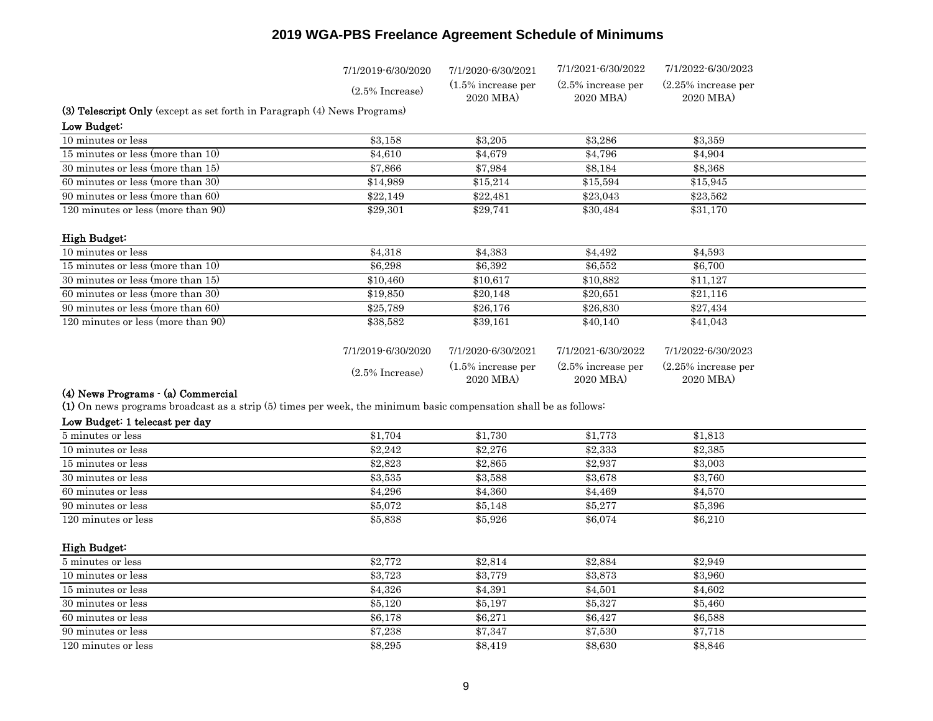|                                                                                                                   | 7/1/2019-6/30/2020 | 7/1/2020-6/30/2021                 | 7/1/2021-6/30/2022                 | 7/1/2022-6/30/2023                  |  |
|-------------------------------------------------------------------------------------------------------------------|--------------------|------------------------------------|------------------------------------|-------------------------------------|--|
|                                                                                                                   | $(2.5\%$ Increase) | $(1.5\%$ increase per<br>2020 MBA) | $(2.5\%$ increase per<br>2020 MBA  | $(2.25\%$ increase per<br>2020 MBA) |  |
| (3) Telescript Only (except as set forth in Paragraph (4) News Programs)                                          |                    |                                    |                                    |                                     |  |
| Low Budget:                                                                                                       |                    |                                    |                                    |                                     |  |
| 10 minutes or less                                                                                                | \$3,158            | \$3,205                            | \$3,286                            | \$3,359                             |  |
| 15 minutes or less (more than 10)                                                                                 | \$4,610            | \$4,679                            | \$4,796                            | \$4,904                             |  |
| 30 minutes or less (more than 15)                                                                                 | \$7,866            | \$7,984                            | \$8,184                            | \$8,368                             |  |
| 60 minutes or less (more than 30)                                                                                 | \$14,989           | \$15,214                           | \$15,594                           | \$15,945                            |  |
| 90 minutes or less (more than 60)                                                                                 | \$22,149           | \$22,481                           | \$23,043                           | \$23,562                            |  |
| 120 minutes or less (more than 90)                                                                                | \$29,301           | \$29,741                           | \$30,484                           | \$31,170                            |  |
| High Budget:                                                                                                      |                    |                                    |                                    |                                     |  |
| 10 minutes or less                                                                                                | \$4,318            | \$4,383                            | \$4,492                            | \$4,593                             |  |
| 15 minutes or less (more than 10)                                                                                 | \$6,298            | \$6,392                            | \$6,552                            | \$6,700                             |  |
| 30 minutes or less (more than 15)                                                                                 | \$10,460           | \$10,617                           | \$10,882                           | \$11,127                            |  |
| 60 minutes or less (more than 30)                                                                                 | \$19,850           | \$20,148                           | $\overline{$}20,651$               | $\sqrt{$21,116}$                    |  |
| 90 minutes or less (more than 60)                                                                                 | \$25,789           | \$26,176                           | \$26,830                           | \$27,434                            |  |
| 120 minutes or less (more than 90)                                                                                | \$38,582           | \$39,161                           | \$40,140                           | \$41,043                            |  |
|                                                                                                                   | 7/1/2019-6/30/2020 | 7/1/2020-6/30/2021                 | 7/1/2021-6/30/2022                 | 7/1/2022-6/30/2023                  |  |
|                                                                                                                   | $(2.5\%$ Increase) | (1.5% increase per<br>2020 MBA)    | $(2.5\%$ increase per<br>2020 MBA) | $(2.25\%$ increase per<br>2020 MBA) |  |
| (4) News Programs - (a) Commercial                                                                                |                    |                                    |                                    |                                     |  |
| (1) On news programs broadcast as a strip (5) times per week, the minimum basic compensation shall be as follows: |                    |                                    |                                    |                                     |  |
| Low Budget: 1 telecast per day                                                                                    |                    |                                    |                                    |                                     |  |
| 5 minutes or less                                                                                                 | \$1,704            | \$1,730                            | \$1,773                            | \$1,813                             |  |
| 10 minutes or less                                                                                                | \$2,242            | \$2,276                            | $\overline{$}2,333$                | \$2,385                             |  |
| 15 minutes or less                                                                                                | \$2,823            | \$2,865                            | \$2,937                            | \$3,003                             |  |
| 30 minutes or less                                                                                                | \$3,535            | \$3,588                            | \$3,678                            | \$3,760                             |  |
| 60 minutes or less                                                                                                | \$4,296            | \$4,360                            | \$4,469                            | \$4,570                             |  |
| 90 minutes or less                                                                                                | \$5,072            | \$5,148                            | \$5,277                            | \$5,396                             |  |
| 120 minutes or less                                                                                               | \$5,838            | \$5,926                            | \$6,074                            | \$6,210                             |  |
| High Budget:                                                                                                      |                    |                                    |                                    |                                     |  |
| 5 minutes or less                                                                                                 | \$2,772            | \$2,814                            | \$2,884                            | \$2,949                             |  |
| 10 minutes or less                                                                                                | \$3,723            | \$3,779                            | \$3,873                            | \$3,960                             |  |
| 15 minutes or less                                                                                                | \$4,326            | \$4,391                            | \$4,501                            | \$4,602                             |  |
| 30 minutes or less                                                                                                | \$5,120            | \$5,197                            | \$5,327                            | \$5,460                             |  |
| 60 minutes or less                                                                                                | \$6,178            | \$6,271                            | \$6,427                            | \$6,588                             |  |
| 90 minutes or less                                                                                                | \$7,238            | \$7,347                            | \$7,530                            | \$7,718                             |  |
| 120 minutes or less                                                                                               | \$8,295            | \$8,419                            | \$8,630                            | \$8,846                             |  |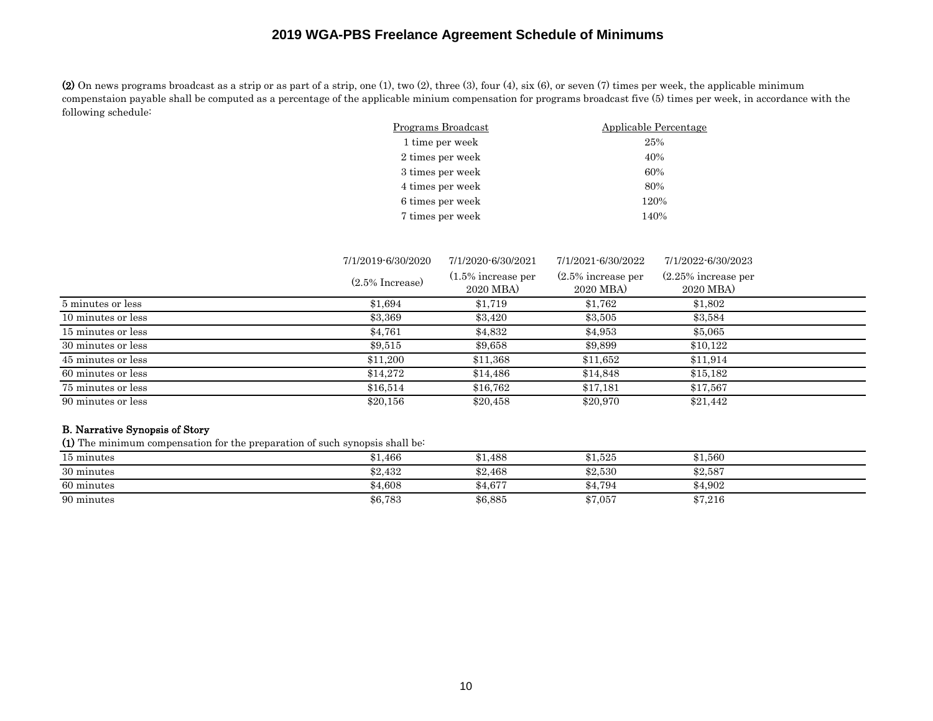(2) On news programs broadcast as a strip or as part of a strip, one (1), two (2), three (3), four (4), six (6), or seven (7) times per week, the applicable minimum compenstaion payable shall be computed as a percentage of the applicable minium compensation for programs broadcast five (5) times per week, in accordance with the following schedule:

| Programs Broadcast | Applicable Percentage |
|--------------------|-----------------------|
| 1 time per week    | 25%                   |
| 2 times per week   | 40%                   |
| 3 times per week   | 60%                   |
| 4 times per week   | 80%                   |
| 6 times per week   | 120%                  |
| 7 times per week   | 140%                  |

|                    | 7/1/2019-6/30/2020 | 7/1/2020-6/30/2021                | 7/1/2021-6/30/2022                 | 7/1/2022-6/30/2023                  |
|--------------------|--------------------|-----------------------------------|------------------------------------|-------------------------------------|
|                    | $(2.5\%$ Increase) | $(1.5\%$ increase per<br>2020 MBA | $(2.5\%$ increase per<br>2020 MBA) | $(2.25\%$ increase per<br>2020 MBA) |
| 5 minutes or less  | \$1,694            | \$1,719                           | \$1,762                            | \$1,802                             |
| 10 minutes or less | \$3,369            | \$3,420                           | \$3,505                            | \$3,584                             |
| 15 minutes or less | \$4,761            | \$4,832                           | \$4,953                            | \$5,065                             |
| 30 minutes or less | \$9,515            | \$9,658                           | \$9,899                            | \$10,122                            |
| 45 minutes or less | \$11.200           | \$11,368                          | \$11,652                           | \$11,914                            |
| 60 minutes or less | \$14,272           | \$14,486                          | \$14,848                           | \$15,182                            |
| 75 minutes or less | \$16,514           | \$16.762                          | \$17,181                           | \$17,567                            |
| 90 minutes or less | \$20,156           | \$20,458                          | \$20,970                           | \$21,442                            |

### B. Narrative Synopsis of Story

(1) The minimum compensation for the preparation of such synopsis shall be:

| 15 minutes | 31,466  | \$1,488 | \$1,525 | \$1.560 |  |
|------------|---------|---------|---------|---------|--|
| 30 minutes | \$2,432 | \$2,468 | \$2,530 | \$2,587 |  |
| 60 minutes | \$4,608 | \$4,677 | \$4,794 | \$4,902 |  |
| 90 minutes | \$6,783 | \$6,885 | \$7,057 | \$7,216 |  |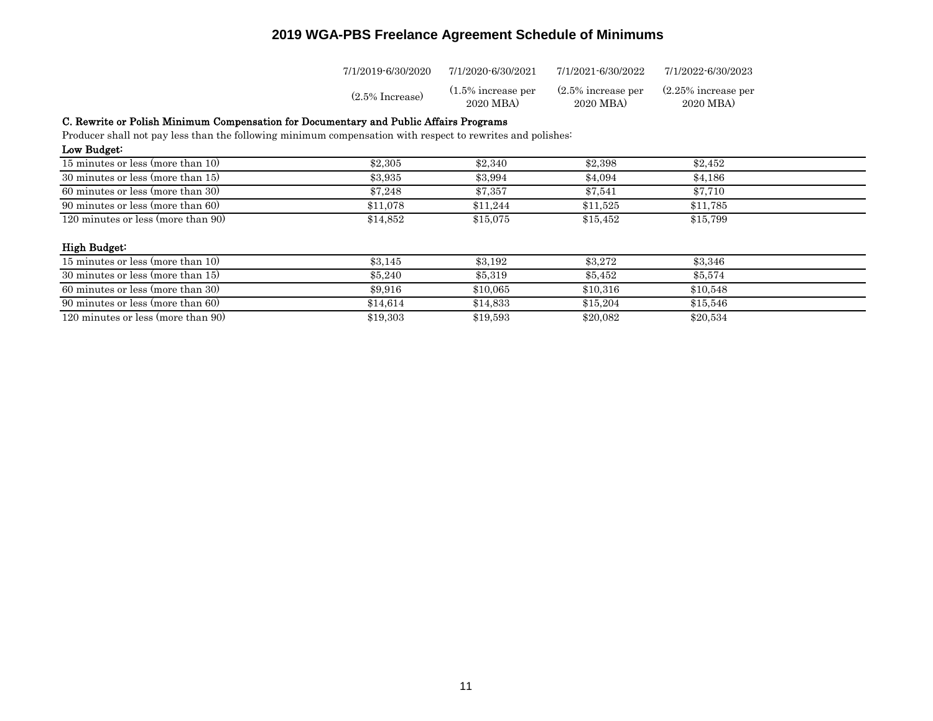| 7/1/2019-6/30/2020 | 7/1/2020-6/30/2021    | 7/1/2021-6/30/2022    | 7/1/2022-6/30/2023     |
|--------------------|-----------------------|-----------------------|------------------------|
| $(2.5\%$ Increase) | $(1.5\%$ increase per | $(2.5\%$ increase per | $(2.25\%$ increase per |
|                    | 2020 MBA)             | 2020 MBA)             | 2020 MBA)              |

#### C. Rewrite or Polish Minimum Compensation for Documentary and Public Affairs Programs

Producer shall not pay less than the following minimum compensation with respect to rewrites and polishes:<br>Low Budget:

| Low Budget:                        |          |          |          |          |  |
|------------------------------------|----------|----------|----------|----------|--|
| 15 minutes or less (more than 10)  | \$2,305  | \$2,340  | \$2,398  | \$2.452  |  |
| 30 minutes or less (more than 15)  | \$3,935  | \$3,994  | \$4.094  | \$4,186  |  |
| 60 minutes or less (more than 30)  | \$7.248  | \$7.357  | \$7.541  | \$7.710  |  |
| 90 minutes or less (more than 60)  | \$11.078 | \$11.244 | \$11.525 | \$11.785 |  |
| 120 minutes or less (more than 90) | \$14,852 | \$15,075 | \$15,452 | \$15,799 |  |

#### High Budget:

| 15 minutes or less (more than 10)  | \$3.145  | \$3.192  | \$3,272  | \$3,346  |  |
|------------------------------------|----------|----------|----------|----------|--|
| 30 minutes or less (more than 15)  | \$5,240  | \$5,319  | \$5.452  | \$5,574  |  |
| 60 minutes or less (more than 30)  | \$9.916  | \$10.065 | \$10,316 | \$10.548 |  |
| 90 minutes or less (more than 60)  | \$14.614 | \$14.833 | \$15,204 | \$15,546 |  |
| 120 minutes or less (more than 90) | \$19,303 | \$19,593 | \$20,082 | \$20,534 |  |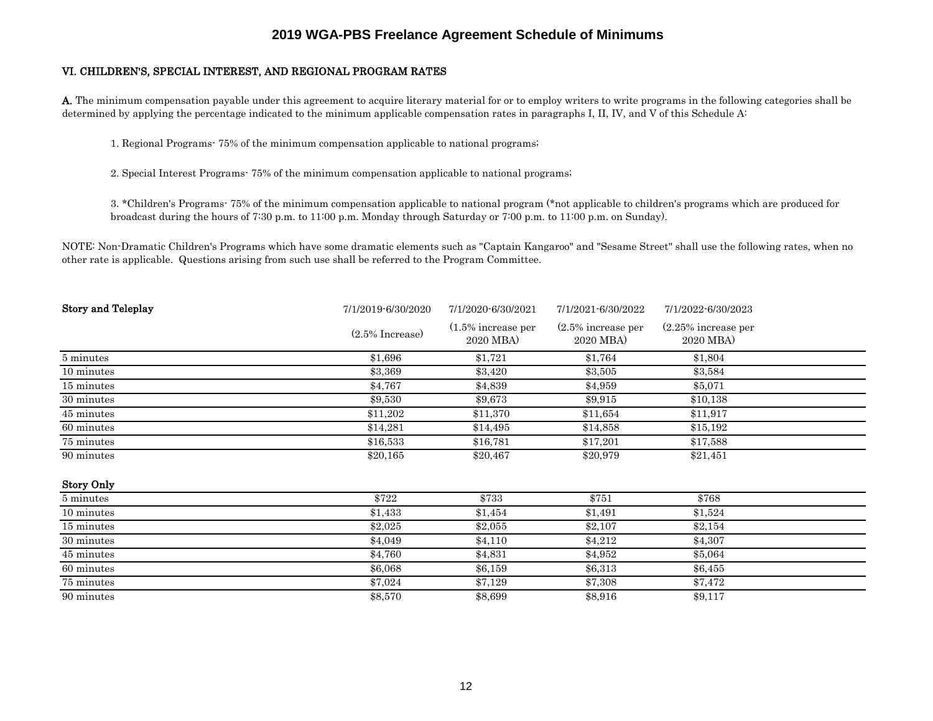#### VI. CHILDREN'S, SPECIAL INTEREST, AND REGIONAL PROGRAM RATES

A. The minimum compensation payable under this agreement to acquire literary material for or to employ writers to write programs in the following categories shall be determined by applying the percentage indicated to the minimum applicable compensation rates in paragraphs I, II, IV, and V of this Schedule A:

1. Regional Programs- 75% of the minimum compensation applicable to national programs;

2. Special Interest Programs- 75% of the minimum compensation applicable to national programs;

3. \*Children's Programs- 75% of the minimum compensation applicable to national program (\*not applicable to children's programs which are produced for broadcast during the hours of 7:30 p.m. to 11:00 p.m. Monday through Saturday or 7:00 p.m. to 11:00 p.m. on Sunday).

NOTE: Non-Dramatic Children's Programs which have some dramatic elements such as "Captain Kangaroo" and "Sesame Street" shall use the following rates, when no other rate is applicable. Questions arising from such use shall be referred to the Program Committee.

| <b>Story and Teleplay</b> | 7/1/2019-6/30/2020 | 7/1/2020-6/30/2021                | 7/1/2021-6/30/2022                | 7/1/2022-6/30/2023                  |  |
|---------------------------|--------------------|-----------------------------------|-----------------------------------|-------------------------------------|--|
|                           | $(2.5\%$ Increase) | $(1.5\%$ increase per<br>2020 MBA | $(2.5\%$ increase per<br>2020 MBA | $(2.25\%$ increase per<br>2020 MBA) |  |
| 5 minutes                 | \$1,696            | \$1,721                           | \$1,764                           | \$1,804                             |  |
| 10 minutes                | \$3,369            | \$3,420                           | \$3,505                           | \$3,584                             |  |
| 15 minutes                | \$4,767            | \$4,839                           | \$4,959                           | \$5,071                             |  |
| 30 minutes                | \$9,530            | \$9,673                           | \$9,915                           | \$10,138                            |  |
| 45 minutes                | \$11,202           | \$11,370                          | \$11,654                          | \$11,917                            |  |
| 60 minutes                | \$14,281           | \$14,495                          | \$14,858                          | \$15,192                            |  |
| 75 minutes                | \$16,533           | \$16,781                          | \$17,201                          | \$17,588                            |  |
| 90 minutes                | \$20,165           | \$20,467                          | \$20,979                          | \$21,451                            |  |
| <b>Story Only</b>         |                    |                                   |                                   |                                     |  |
|                           | $+ - - -$          | $+ - - -$                         | $- - -$                           | $+ - - -$                           |  |

| 5 minutes  | \$722   | \$733   | \$751   | \$768   |  |
|------------|---------|---------|---------|---------|--|
| 10 minutes | \$1,433 | \$1,454 | \$1,491 | \$1,524 |  |
| 15 minutes | \$2.025 | \$2,055 | \$2,107 | \$2,154 |  |
| 30 minutes | \$4.049 | \$4,110 | \$4.212 | \$4,307 |  |
| 45 minutes | \$4.760 | \$4,831 | \$4,952 | \$5,064 |  |
| 60 minutes | \$6,068 | \$6,159 | \$6,313 | \$6,455 |  |
| 75 minutes | \$7.024 | \$7.129 | \$7,308 | \$7.472 |  |
| 90 minutes | \$8,570 | \$8,699 | \$8,916 | \$9,117 |  |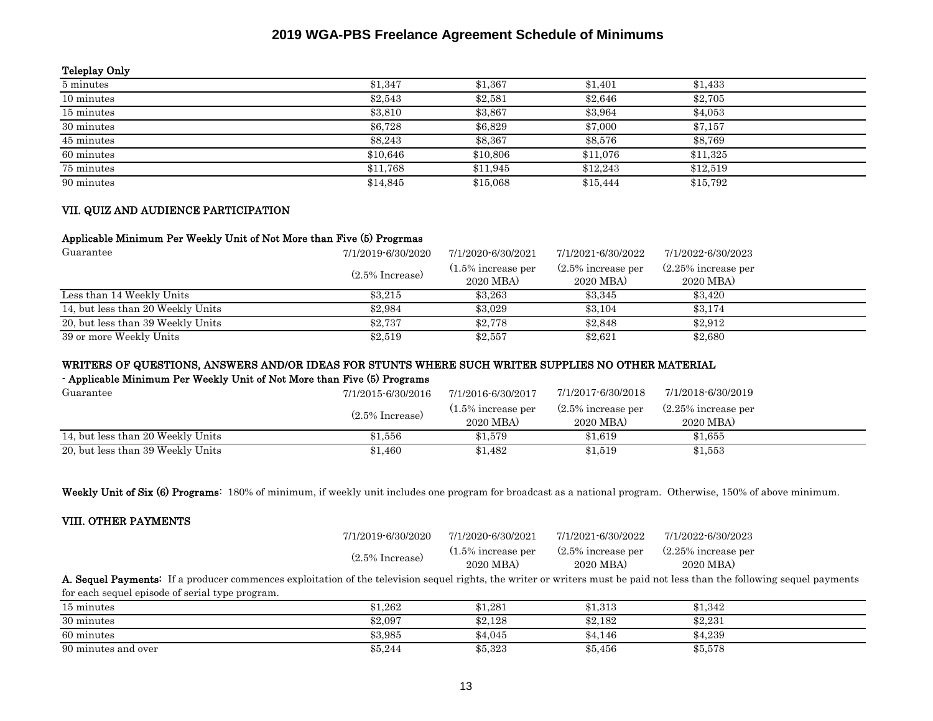#### Teleplay Only

| 5 minutes  | \$1,347  | \$1,367  | \$1.401  | \$1,433  |
|------------|----------|----------|----------|----------|
| 10 minutes | \$2,543  | \$2,581  | \$2,646  | \$2,705  |
| 15 minutes | \$3,810  | \$3,867  | \$3,964  | \$4,053  |
| 30 minutes | \$6.728  | \$6,829  | \$7,000  | \$7,157  |
| 45 minutes | \$8.243  | \$8,367  | \$8,576  | \$8,769  |
| 60 minutes | \$10.646 | \$10,806 | \$11,076 | \$11.325 |
| 75 minutes | \$11,768 | \$11.945 | \$12,243 | \$12,519 |
| 90 minutes | \$14,845 | \$15,068 | \$15,444 | \$15,792 |

#### VII. QUIZ AND AUDIENCE PARTICIPATION

#### Applicable Minimum Per Weekly Unit of Not More than Five (5) Progrmas

| Guarantee                         | 7/1/2019-6/30/2020 | 7/1/2020-6/30/2021                 | 7/1/2021-6/30/2022                 | 7/1/2022-6/30/2023                  |
|-----------------------------------|--------------------|------------------------------------|------------------------------------|-------------------------------------|
|                                   | $(2.5\%$ Increase) | $(1.5\%$ increase per<br>2020 MBA) | $(2.5\%$ increase per<br>2020 MBA) | $(2.25\%$ increase per<br>2020 MBA) |
| Less than 14 Weekly Units         | \$3.215            | \$3.263                            | \$3,345                            | \$3.420                             |
| 14, but less than 20 Weekly Units | \$2,984            | \$3,029                            | \$3.104                            | \$3.174                             |
| 20, but less than 39 Weekly Units | \$2.737            | \$2,778                            | \$2.848                            | \$2.912                             |
| 39 or more Weekly Units           | \$2,519            | \$2,557                            | \$2,621                            | \$2,680                             |

### WRITERS OF QUESTIONS, ANSWERS AND/OR IDEAS FOR STUNTS WHERE SUCH WRITER SUPPLIES NO OTHER MATERIAL

### - Applicable Minimum Per Weekly Unit of Not More than Five (5) Programs

| Guarantee                         | 7/1/2015-6/30/2016 | 7/1/2016-6/30/2017                 | 7/1/2017-6/30/2018                 | 7/1/2018-6/30/2019                  |
|-----------------------------------|--------------------|------------------------------------|------------------------------------|-------------------------------------|
|                                   | $(2.5\%$ Increase) | $(1.5\%$ increase per<br>2020 MBA) | $(2.5\%$ increase per<br>2020 MBA) | $(2.25\%$ increase per<br>2020 MBA) |
| 14, but less than 20 Weekly Units | $\$1.556$          | \$1.579                            | \$1.619                            | \$1.655                             |
| 20, but less than 39 Weekly Units | $\$1,460$          | \$1,482                            | \$1,519                            | \$1,553                             |

Weekly Unit of Six (6) Programs: 180% of minimum, if weekly unit includes one program for broadcast as a national program. Otherwise, 150% of above minimum.

#### VIII. OTHER PAYMENTS

| 7/1/2019-6/30/2020                                                                                                                                                              | 7/1/2020-6/30/2021                 | 7/1/2021-6/30/2022                 | 7/1/2022-6/30/2023                  |
|---------------------------------------------------------------------------------------------------------------------------------------------------------------------------------|------------------------------------|------------------------------------|-------------------------------------|
| $(2.5\%$ Increase)                                                                                                                                                              | $(1.5\%$ increase per<br>2020 MBA) | $(2.5\%$ increase per<br>2020 MBA) | $(2.25\%$ increase per<br>2020 MBA) |
| <b>A. Sequel Payments:</b> If a producer commences exploitation of the television sequel rights, the writer or writers must be paid not less than the following sequel payments |                                    |                                    |                                     |

15 minutes \$1,262 \$1,281 \$1,313 \$1,342 for each sequel episode of serial type program.

| то шшилер                       | 01,202  | 01,401                   | 01.010  | 01.042  |
|---------------------------------|---------|--------------------------|---------|---------|
| 30 minutes                      | \$2,097 | <b>ዩ</b> 9 198<br>04.IAC | \$2,182 | \$2,231 |
| 60 minutes                      | \$3,985 | $\$4.045$                | \$4,146 | \$4,239 |
| $\Omega$<br>90 minutes and over | \$5,244 | \$5,323                  | \$5,456 | \$5,578 |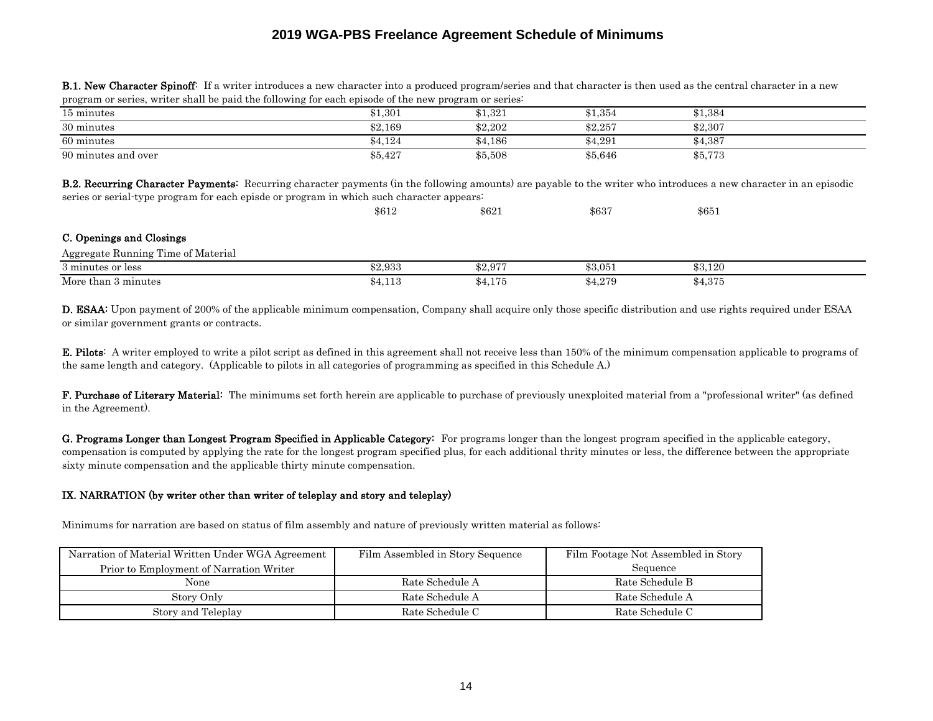| 15 minutes                                                                                                                                                                                                                                                             | \$1.301 | \$1.321 | \$1.354 | \$1.384 |  |  |
|------------------------------------------------------------------------------------------------------------------------------------------------------------------------------------------------------------------------------------------------------------------------|---------|---------|---------|---------|--|--|
| 30 minutes                                                                                                                                                                                                                                                             | \$2.169 | \$2,202 | \$2,257 | \$2,307 |  |  |
| 60 minutes                                                                                                                                                                                                                                                             | \$4.124 | \$4.186 | \$4.291 | \$4.387 |  |  |
| 90 minutes and over                                                                                                                                                                                                                                                    | \$5.427 | \$5,508 | \$5.646 | \$5,773 |  |  |
| <b>B.2. Recurring Character Payments:</b> Recurring character payments (in the following amounts) are payable to the writer who introduces a new character in an episodic<br>series or serial type program for each episde or program in which such character appears: |         |         |         |         |  |  |

**B.1. New Character Spinoff**: If a writer introduces a new character into a produced program/series and that character is then used as the central character in a new program or series, writer shall be paid the following for each episode of the new program or series:

|                                    | \$612   | \$621   | \$637   | \$651   |  |
|------------------------------------|---------|---------|---------|---------|--|
| C. Openings and Closings           |         |         |         |         |  |
| Aggregate Running Time of Material |         |         |         |         |  |
| 3 minutes or less                  | \$2,933 | \$2.977 | \$3,051 | \$3.120 |  |
| More than 3 minutes                | \$4,113 | \$4,175 | \$4,279 | \$4,375 |  |

D. ESAA: Upon payment of 200% of the applicable minimum compensation, Company shall acquire only those specific distribution and use rights required under ESAA or similar government grants or contracts.

E. Pilots: A writer employed to write a pilot script as defined in this agreement shall not receive less than 150% of the minimum compensation applicable to programs of the same length and category. (Applicable to pilots in all categories of programming as specified in this Schedule A.)

F. Purchase of Literary Material: The minimums set forth herein are applicable to purchase of previously unexploited material from a "professional writer" (as defined in the Agreement).

G. Programs Longer than Longest Program Specified in Applicable Category: For programs longer than the longest program specified in the applicable category, compensation is computed by applying the rate for the longest program specified plus, for each additional thrity minutes or less, the difference between the appropriate sixty minute compensation and the applicable thirty minute compensation.

#### IX. NARRATION (by writer other than writer of teleplay and story and teleplay)

Minimums for narration are based on status of film assembly and nature of previously written material as follows:

| Narration of Material Written Under WGA Agreement | Film Assembled in Story Sequence | Film Footage Not Assembled in Story |
|---------------------------------------------------|----------------------------------|-------------------------------------|
| Prior to Employment of Narration Writer           |                                  | Sequence                            |
| None                                              | Rate Schedule A                  | Rate Schedule B                     |
| Story Only                                        | Rate Schedule A                  | Rate Schedule A                     |
| Story and Teleplay                                | Rate Schedule C                  | Rate Schedule C                     |